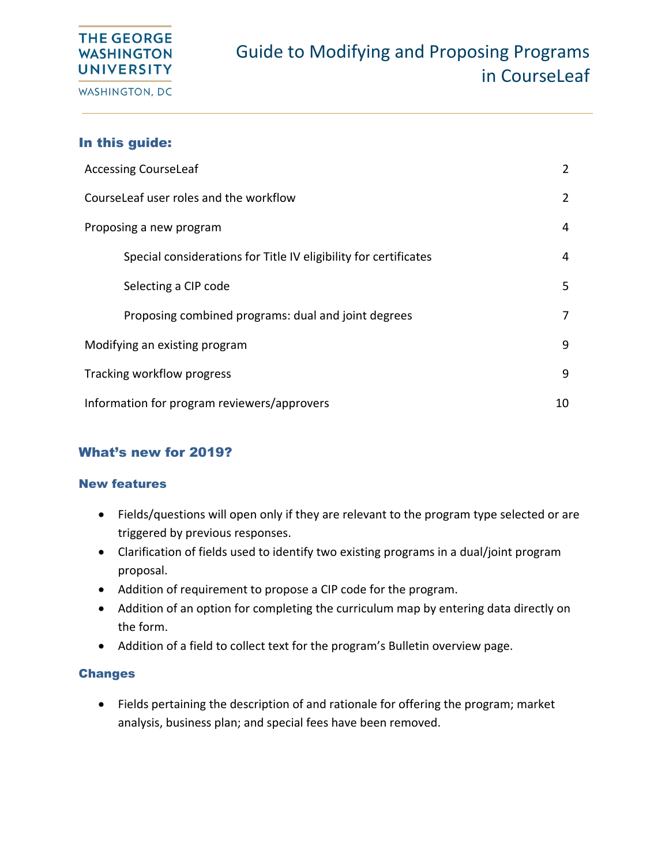# **THE GEORGE WASHINGTON UNIVERSITY**

WASHINGTON, DC

## In this guide:

| <b>Accessing CourseLeaf</b>                                      |   |  |  |
|------------------------------------------------------------------|---|--|--|
| CourseLeaf user roles and the workflow                           | 2 |  |  |
| Proposing a new program                                          |   |  |  |
| Special considerations for Title IV eligibility for certificates | 4 |  |  |
| Selecting a CIP code                                             | 5 |  |  |
| Proposing combined programs: dual and joint degrees              | 7 |  |  |
| Modifying an existing program                                    |   |  |  |
| Tracking workflow progress                                       |   |  |  |
| Information for program reviewers/approvers                      |   |  |  |

## What's new for 2019?

#### New features

- Fields/questions will open only if they are relevant to the program type selected or are triggered by previous responses.
- Clarification of fields used to identify two existing programs in a dual/joint program proposal.
- Addition of requirement to propose a CIP code for the program.
- Addition of an option for completing the curriculum map by entering data directly on the form.
- Addition of a field to collect text for the program's Bulletin overview page.

### Changes

• Fields pertaining the description of and rationale for offering the program; market analysis, business plan; and special fees have been removed.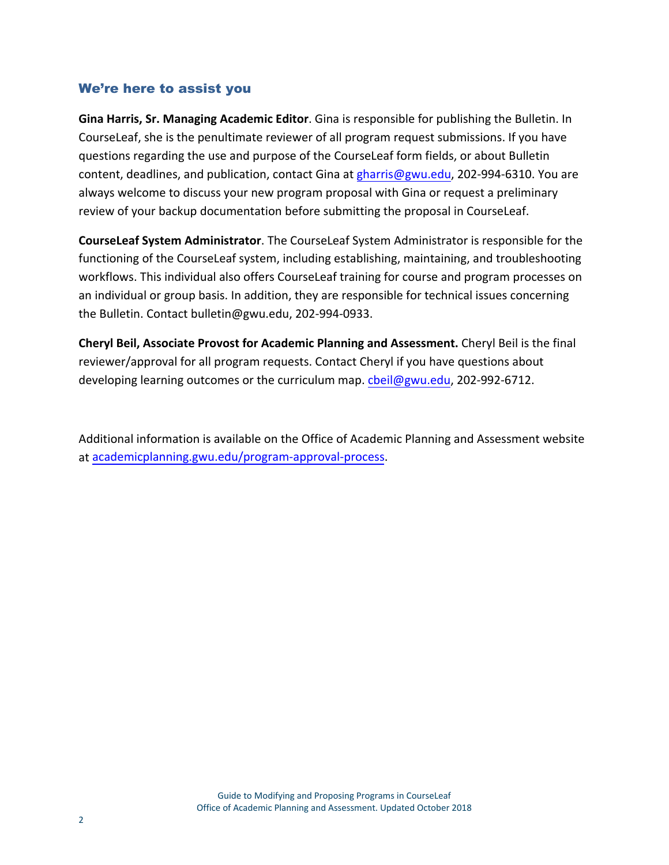## We're here to assist you

**Gina Harris, Sr. Managing Academic Editor**. Gina is responsible for publishing the Bulletin. In CourseLeaf, she is the penultimate reviewer of all program request submissions. If you have questions regarding the use and purpose of the CourseLeaf form fields, or about Bulletin content, deadlines, and publication, contact Gina at [gharris@gwu.edu,](mailto:gharris@gwu.edu) 202-994-6310. You are always welcome to discuss your new program proposal with Gina or request a preliminary review of your backup documentation before submitting the proposal in CourseLeaf.

**CourseLeaf System Administrator**. The CourseLeaf System Administrator is responsible for the functioning of the CourseLeaf system, including establishing, maintaining, and troubleshooting workflows. This individual also offers CourseLeaf training for course and program processes on an individual or group basis. In addition, they are responsible for technical issues concerning the Bulletin. Contact bulletin@gwu.edu, 202-994-0933.

**Cheryl Beil, Associate Provost for Academic Planning and Assessment.** Cheryl Beil is the final reviewer/approval for all program requests. Contact Cheryl if you have questions about developing learning outcomes or the curriculum map. [cbeil@gwu.edu,](mailto:cbeil@gwu.edu) 202-992-6712.

Additional information is available on the Office of Academic Planning and Assessment website at [academicplanning.gwu.edu/program-approval-process.](https://academicplanning.gwu.edu/program-approval-process)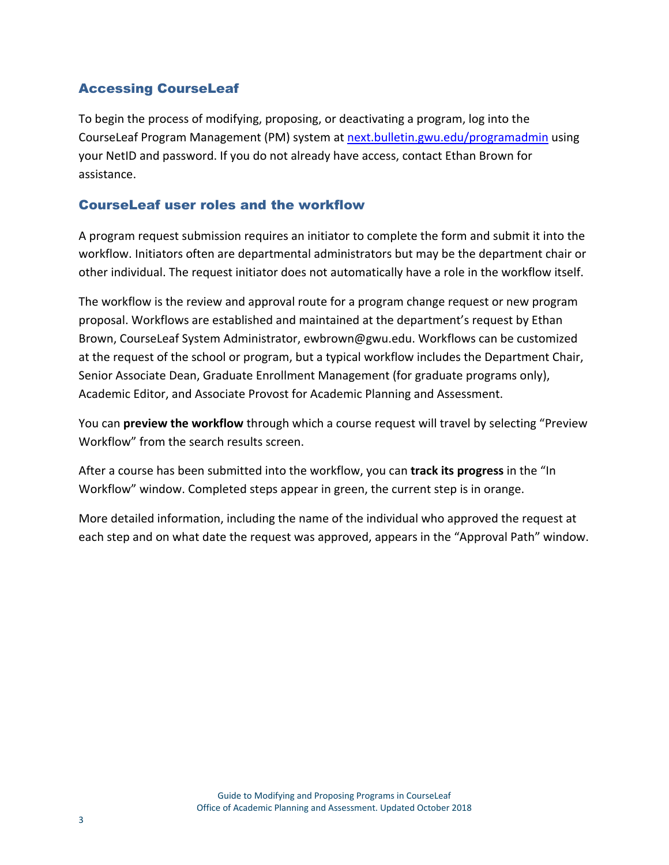## Accessing CourseLeaf

To begin the process of modifying, proposing, or deactivating a program, log into the CourseLeaf Program Management (PM) system at [next.bulletin.gwu.edu/programadmin](https://next.bulletin.gwu.edu/programadmin/) using your NetID and password. If you do not already have access, contact Ethan Brown for assistance.

## CourseLeaf user roles and the workflow

A program request submission requires an initiator to complete the form and submit it into the workflow. Initiators often are departmental administrators but may be the department chair or other individual. The request initiator does not automatically have a role in the workflow itself.

The workflow is the review and approval route for a program change request or new program proposal. Workflows are established and maintained at the department's request by Ethan Brown, CourseLeaf System Administrator, ewbrown@gwu.edu. Workflows can be customized at the request of the school or program, but a typical workflow includes the Department Chair, Senior Associate Dean, Graduate Enrollment Management (for graduate programs only), Academic Editor, and Associate Provost for Academic Planning and Assessment.

You can **preview the workflow** through which a course request will travel by selecting "Preview Workflow" from the search results screen.

After a course has been submitted into the workflow, you can **track its progress** in the "In Workflow" window. Completed steps appear in green, the current step is in orange.

More detailed information, including the name of the individual who approved the request at each step and on what date the request was approved, appears in the "Approval Path" window.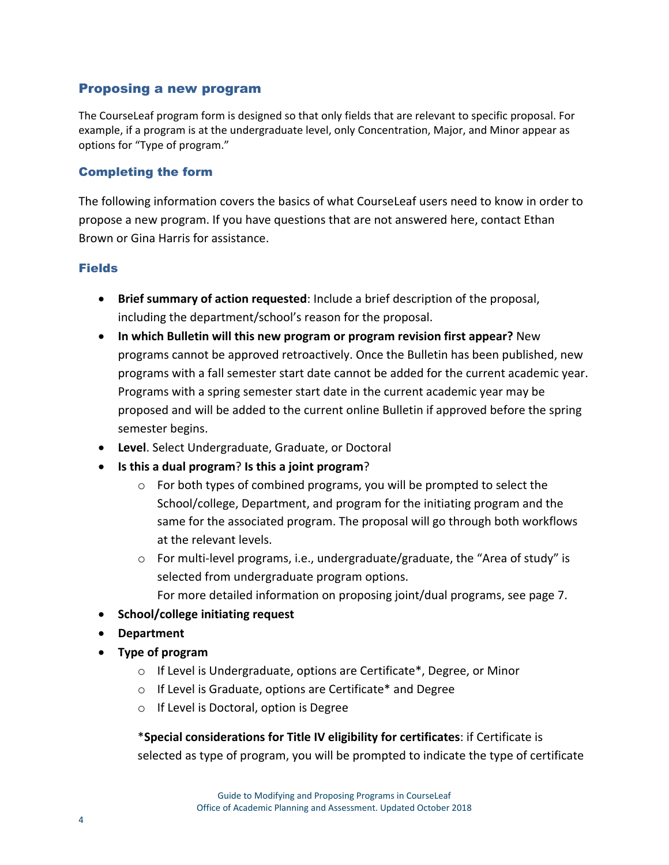## Proposing a new program

The CourseLeaf program form is designed so that only fields that are relevant to specific proposal. For example, if a program is at the undergraduate level, only Concentration, Major, and Minor appear as options for "Type of program."

#### Completing the form

The following information covers the basics of what CourseLeaf users need to know in order to propose a new program. If you have questions that are not answered here, contact Ethan Brown or Gina Harris for assistance.

#### **Fields**

- **Brief summary of action requested**: Include a brief description of the proposal, including the department/school's reason for the proposal.
- **In which Bulletin will this new program or program revision first appear?** New programs cannot be approved retroactively. Once the Bulletin has been published, new programs with a fall semester start date cannot be added for the current academic year. Programs with a spring semester start date in the current academic year may be proposed and will be added to the current online Bulletin if approved before the spring semester begins.
- **Level**. Select Undergraduate, Graduate, or Doctoral
- **Is this a dual program**? **Is this a joint program**?
	- $\circ$  For both types of combined programs, you will be prompted to select the School/college, Department, and program for the initiating program and the same for the associated program. The proposal will go through both workflows at the relevant levels.
	- o For multi-level programs, i.e., undergraduate/graduate, the "Area of study" is selected from undergraduate program options.
		- For more detailed information on proposing joint/dual programs, see page 7.
- **School/college initiating request**
- **Department**
- **Type of program**
	- o If Level is Undergraduate, options are Certificate\*, Degree, or Minor
	- o If Level is Graduate, options are Certificate\* and Degree
	- o If Level is Doctoral, option is Degree

\***Special considerations for Title IV eligibility for certificates**: if Certificate is selected as type of program, you will be prompted to indicate the type of certificate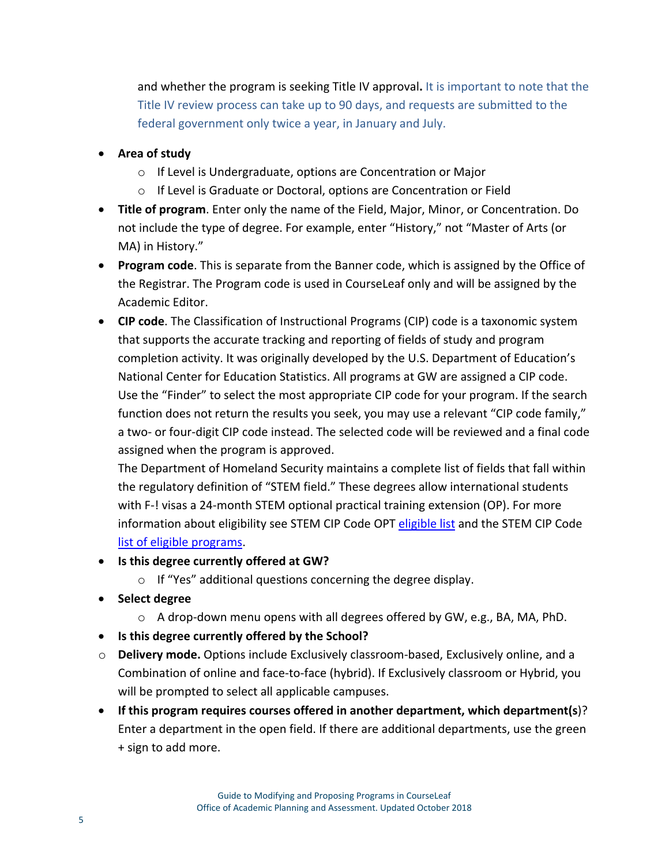and whether the program is seeking Title IV approval**.** It is important to note that the Title IV review process can take up to 90 days, and requests are submitted to the federal government only twice a year, in January and July.

- **Area of study**
	- o If Level is Undergraduate, options are Concentration or Major
	- o If Level is Graduate or Doctoral, options are Concentration or Field
- **Title of program**. Enter only the name of the Field, Major, Minor, or Concentration. Do not include the type of degree. For example, enter "History," not "Master of Arts (or MA) in History."
- **Program code**. This is separate from the Banner code, which is assigned by the Office of the Registrar. The Program code is used in CourseLeaf only and will be assigned by the Academic Editor.
- **CIP code**. The Classification of Instructional Programs (CIP) code is a taxonomic system that supports the accurate tracking and reporting of fields of study and program completion activity. It was originally developed by the U.S. Department of Education's National Center for Education Statistics. All programs at GW are assigned a CIP code. Use the "Finder" to select the most appropriate CIP code for your program. If the search function does not return the results you seek, you may use a relevant "CIP code family," a two- or four-digit CIP code instead. The selected code will be reviewed and a final code assigned when the program is approved.

The Department of Homeland Security maintains a complete list of fields that fall within the regulatory definition of "STEM field." These degrees allow international students with F-! visas a 24-month STEM optional practical training extension (OP). For more information about eligibility see STEM CIP Code OPT [eligible list](https://www.ice.gov/sites/default/files/documents/Document/2016/stem-list.pdf) and the STEM CIP Code [list of eligible programs.](https://studyinthestates.dhs.gov/eligible-cip-codes-for-the-stem-opt-extension)

- **Is this degree currently offered at GW?**
	- o If "Yes" additional questions concerning the degree display.
- **Select degree**
	- o A drop-down menu opens with all degrees offered by GW, e.g., BA, MA, PhD.
- **Is this degree currently offered by the School?**
- o **Delivery mode.** Options include Exclusively classroom-based, Exclusively online, and a Combination of online and face-to-face (hybrid). If Exclusively classroom or Hybrid, you will be prompted to select all applicable campuses.
- **If this program requires courses offered in another department, which department(s**)? Enter a department in the open field. If there are additional departments, use the green + sign to add more.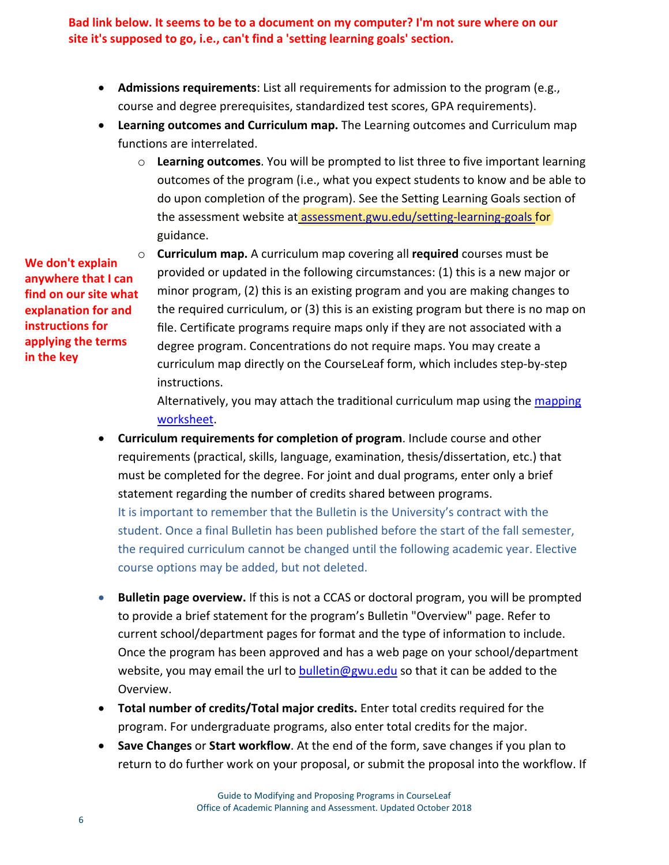**Bad link below. It seems to be to a document on my computer? I'm not sure where on our site it's supposed to go, i.e., can't find a 'setting learning goals' section.**

- **Admissions requirements**: List all requirements for admission to the program (e.g., course and degree prerequisites, standardized test scores, GPA requirements).
- **Learning outcomes and Curriculum map.** The Learning outcomes and Curriculum map functions are interrelated.
	- o **Learning outcomes**. You will be prompted to list three to five important learning outcomes of the program (i.e., what you expect students to know and be able to do upon completion of the program). See the Setting Learning Goals section of the assessment website at assessment.gwu.edu/setting-learning-goals for guidance.

**We don't explain anywhere that I can find on our site what explanation for and instructions for applying the terms in the key**

o **Curriculum map.** A curriculum map covering all **required** courses must be provided or updated in the following circumstances: (1) this is a new major or minor program, (2) this is an existing program and you are making changes to the required curriculum, or (3) this is an existing program but there is no map on file. Certificate programs require maps only if they are not associated with a degree program. Concentrations do not require maps. You may create a curriculum map directly on the CourseLeaf form, which includes step-by-step instructions.

Alternatively, you may attach the traditional curriculum map using the [mapping](https://assessment.gwu.edu/sites/g/files/zaxdzs2506/f/downloads/curriculum%20mapping%20worksheet_updated%20August%202019.pdf) [worksheet.](https://assessment.gwu.edu/sites/g/files/zaxdzs2506/f/downloads/curriculum%20mapping%20worksheet_updated%20August%202019.pdf)

- **Curriculum requirements for completion of program**. Include course and other requirements (practical, skills, language, examination, thesis/dissertation, etc.) that must be completed for the degree. For joint and dual programs, enter only a brief statement regarding the number of credits shared between programs. It is important to remember that the Bulletin is the University's contract with the student. Once a final Bulletin has been published before the start of the fall semester, the required curriculum cannot be changed until the following academic year. Elective course options may be added, but not deleted.
- **Bulletin page overview.** If this is not a CCAS or doctoral program, you will be prompted to provide a brief statement for the program's Bulletin "Overview" page. Refer to current school/department pages for format and the type of information to include. Once the program has been approved and has a web page on your school/department website, you may email the url to [bulletin@gwu.edu](mailto:bulletin@gwu.edu) so that it can be added to the Overview.
- **Total number of credits/Total major credits.** Enter total credits required for the program. For undergraduate programs, also enter total credits for the major.
- **Save Changes** or **Start workflow**. At the end of the form, save changes if you plan to return to do further work on your proposal, or submit the proposal into the workflow. If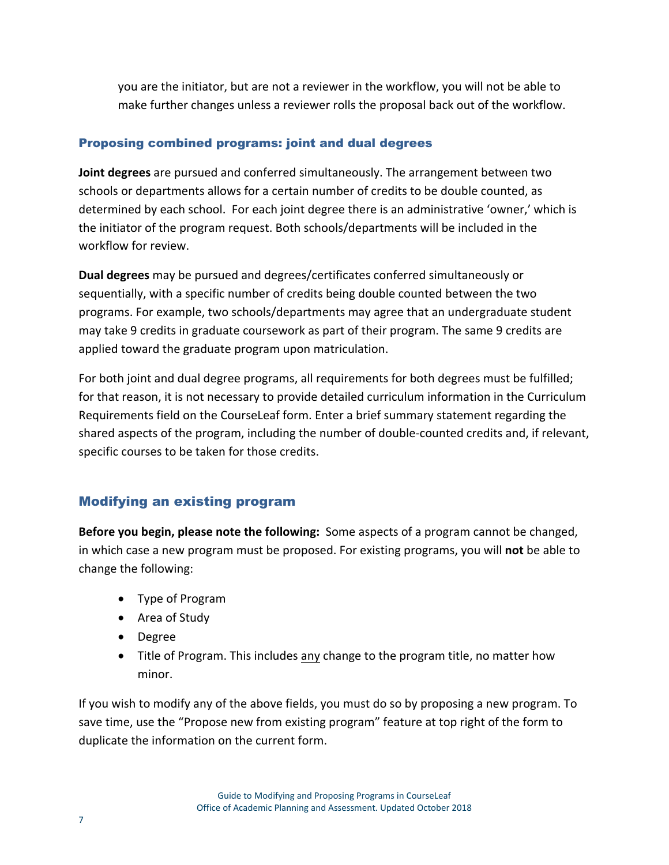you are the initiator, but are not a reviewer in the workflow, you will not be able to make further changes unless a reviewer rolls the proposal back out of the workflow.

## Proposing combined programs: joint and dual degrees

**Joint degrees** are pursued and conferred simultaneously. The arrangement between two schools or departments allows for a certain number of credits to be double counted, as determined by each school. For each joint degree there is an administrative 'owner,' which is the initiator of the program request. Both schools/departments will be included in the workflow for review.

**Dual degrees** may be pursued and degrees/certificates conferred simultaneously or sequentially, with a specific number of credits being double counted between the two programs. For example, two schools/departments may agree that an undergraduate student may take 9 credits in graduate coursework as part of their program. The same 9 credits are applied toward the graduate program upon matriculation.

For both joint and dual degree programs, all requirements for both degrees must be fulfilled; for that reason, it is not necessary to provide detailed curriculum information in the Curriculum Requirements field on the CourseLeaf form. Enter a brief summary statement regarding the shared aspects of the program, including the number of double-counted credits and, if relevant, specific courses to be taken for those credits.

## Modifying an existing program

**Before you begin, please note the following:** Some aspects of a program cannot be changed, in which case a new program must be proposed. For existing programs, you will **not** be able to change the following:

- Type of Program
- Area of Study
- Degree
- Title of Program. This includes any change to the program title, no matter how minor.

If you wish to modify any of the above fields, you must do so by proposing a new program. To save time, use the "Propose new from existing program" feature at top right of the form to duplicate the information on the current form.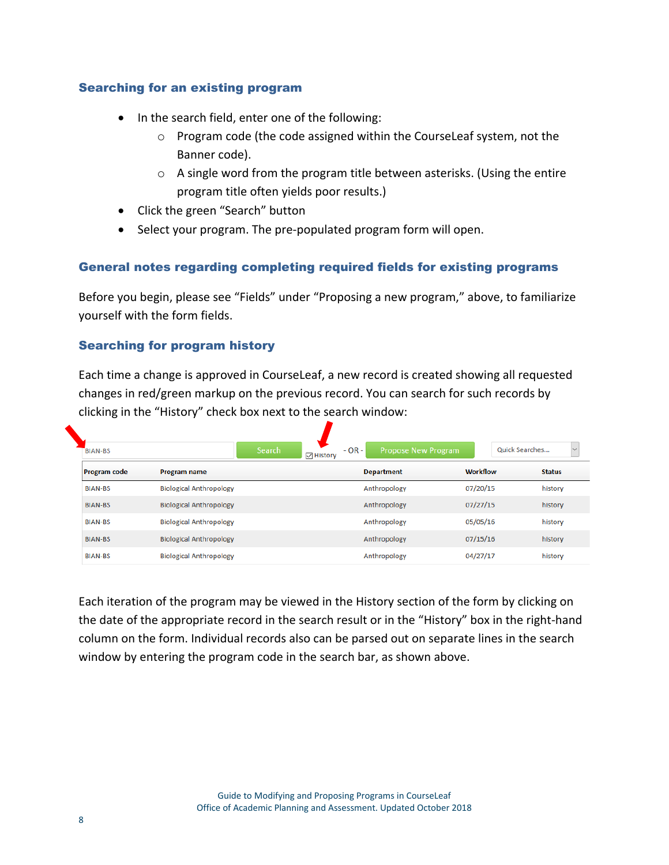#### Searching for an existing program

- In the search field, enter one of the following:
	- o Program code (the code assigned within the CourseLeaf system, not the Banner code).
	- o A single word from the program title between asterisks. (Using the entire program title often yields poor results.)
- Click the green "Search" button
- Select your program. The pre-populated program form will open.

#### General notes regarding completing required fields for existing programs

Before you begin, please see "Fields" under "Proposing a new program," above, to familiarize yourself with the form fields.

#### Searching for program history

Each time a change is approved in CourseLeaf, a new record is created showing all requested changes in red/green markup on the previous record. You can search for such records by clicking in the "History" check box next to the search window:

| <b>BIAN-BS</b>      |                                | <b>Search</b><br><b>▽ History</b> | $-OR -$<br><b>Propose New Program</b> |                 | Quick Searches<br>$\checkmark$ |
|---------------------|--------------------------------|-----------------------------------|---------------------------------------|-----------------|--------------------------------|
| <b>Program code</b> | <b>Program name</b>            |                                   | <b>Department</b>                     | <b>Workflow</b> | <b>Status</b>                  |
| <b>BIAN-BS</b>      | <b>Biological Anthropology</b> |                                   | Anthropology                          | 07/20/15        | history                        |
| <b>BIAN-BS</b>      | <b>Biological Anthropology</b> |                                   | Anthropology                          | 07/27/15        | history                        |
| <b>BIAN-BS</b>      | <b>Biological Anthropology</b> |                                   | Anthropology                          | 05/05/16        | history                        |
| <b>BIAN-BS</b>      | <b>Biological Anthropology</b> |                                   | Anthropology                          | 07/15/16        | history                        |
| <b>BIAN-BS</b>      | <b>Biological Anthropology</b> |                                   | Anthropology                          | 04/27/17        | history                        |

Each iteration of the program may be viewed in the History section of the form by clicking on the date of the appropriate record in the search result or in the "History" box in the right-hand column on the form. Individual records also can be parsed out on separate lines in the search window by entering the program code in the search bar, as shown above.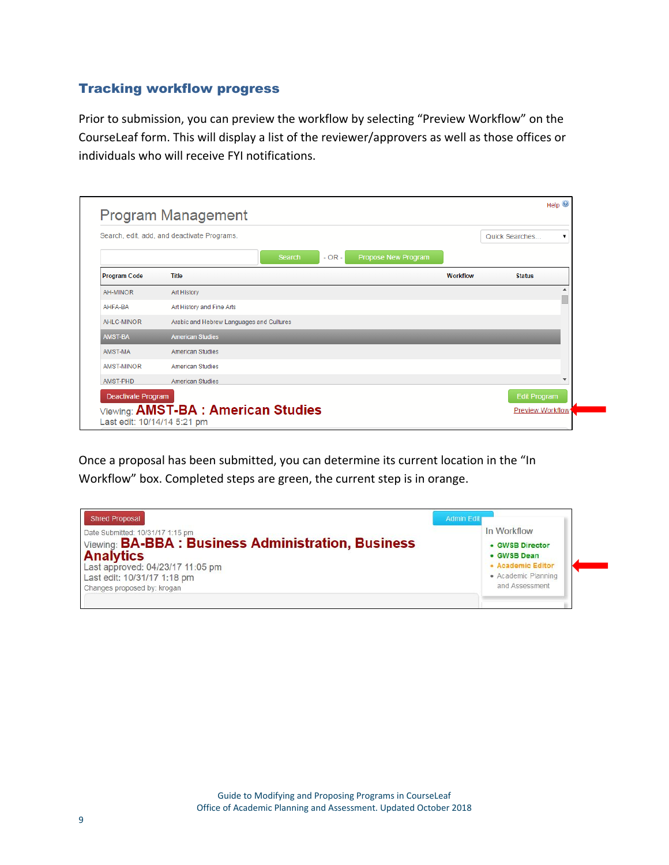## Tracking workflow progress

Prior to submission, you can preview the workflow by selecting "Preview Workflow" on the CourseLeaf form. This will display a list of the reviewer/approvers as well as those offices or individuals who will receive FYI notifications.

| Help $\odot$<br><b>Program Management</b> |                                             |          |                         |  |  |
|-------------------------------------------|---------------------------------------------|----------|-------------------------|--|--|
|                                           | Search, edit, add, and deactivate Programs. |          | Quick Searches<br>▼     |  |  |
|                                           | Propose New Program<br>$- OR -$<br>Search   |          |                         |  |  |
| <b>Program Code</b>                       | <b>Title</b>                                | Workflow | <b>Status</b>           |  |  |
| AH-MINOR                                  | Art History                                 |          | ٠                       |  |  |
| AHFA-BA                                   | Art History and Fine Arts                   |          |                         |  |  |
| AHLC-MINOR                                | Arabic and Hebrew Languages and Cultures    |          |                         |  |  |
| <b>AMST-BA</b>                            | <b>American Studies</b>                     |          |                         |  |  |
| AMST-MA                                   | <b>American Studies</b>                     |          |                         |  |  |
| AMST-MINOR                                | <b>American Studies</b>                     |          |                         |  |  |
| AMST-PHD                                  | <b>American Studies</b>                     |          | $\sim$                  |  |  |
| <b>Deactivate Program</b>                 |                                             |          | <b>Edit Program</b>     |  |  |
| Last edit: 10/14/14 5:21 pm               | Viewing: AMST-BA : American Studies         |          | <b>Preview Workflow</b> |  |  |

Once a proposal has been submitted, you can determine its current location in the "In Workflow" box. Completed steps are green, the current step is in orange.

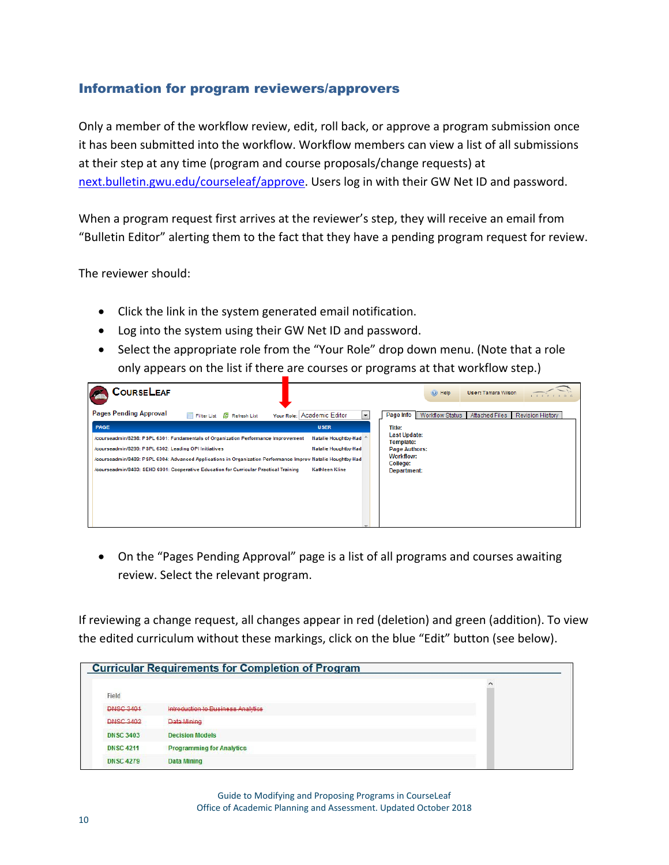## Information for program reviewers/approvers

Only a member of the workflow review, edit, roll back, or approve a program submission once it has been submitted into the workflow. Workflow members can view a list of all submissions at their step at any time (program and course proposals/change requests) at [next.bulletin.gwu.edu/courseleaf/approve.](https://next.bulletin.gwu.edu/courseleaf/approve/) Users log in with their GW Net ID and password.

When a program request first arrives at the reviewer's step, they will receive an email from "Bulletin Editor" alerting them to the fact that they have a pending program request for review.

The reviewer should:

- Click the link in the system generated email notification.
- Log into the system using their GW Net ID and password.
- Select the appropriate role from the "Your Role" drop down menu. (Note that a role only appears on the list if there are courses or programs at that workflow step.)



• On the "Pages Pending Approval" page is a list of all programs and courses awaiting review. Select the relevant program.

If reviewing a change request, all changes appear in red (deletion) and green (addition). To view the edited curriculum without these markings, click on the blue "Edit" button (see below).

|                  | <b>Curricular Requirements for Completion of Program</b> |          |
|------------------|----------------------------------------------------------|----------|
| Field            |                                                          | $\wedge$ |
| <b>DNSC 3401</b> | Introduction to Business Analytics                       |          |
| <b>DNSC 3402</b> | Data Mining                                              |          |
| <b>DNSC 3403</b> | <b>Decision Models</b>                                   |          |
| <b>DNSC 4211</b> | <b>Programming for Analytics</b>                         |          |
| <b>DNSC 4279</b> | <b>Data Mining</b>                                       |          |

Guide to Modifying and Proposing Programs in CourseLeaf Office of Academic Planning and Assessment. Updated October 2018